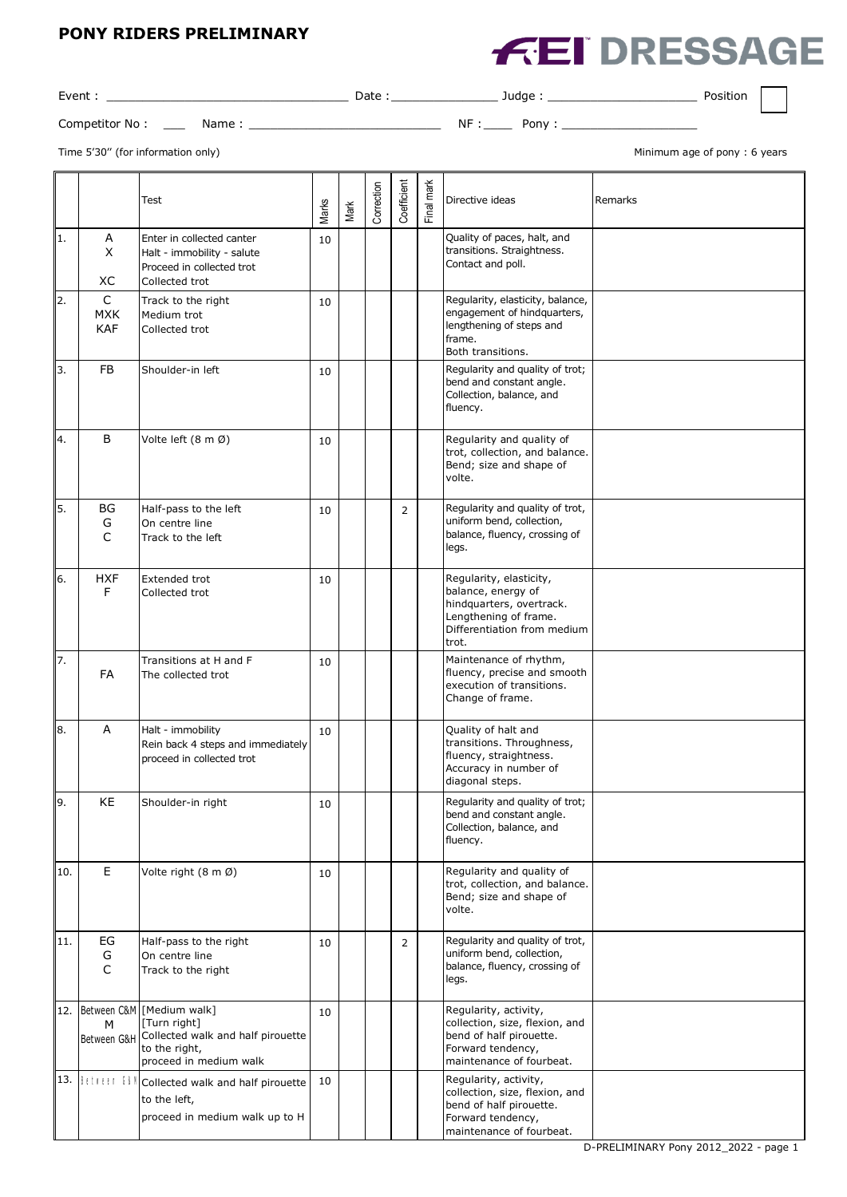## **PONY RIDERS PRELIMINARY**



| Event          |        | Date | Judae      | Position |  |
|----------------|--------|------|------------|----------|--|
| Competitor No: | Name · |      | NF<br>Pony |          |  |

Time 5'30" (for information only) and the state of pony information only and the state of pony information only head of pony : 6 years

'n

|     |                               | Test                                                                                                                          | Marks | Mark | Correction | Coefficient    | Final mark | Directive ideas                                                                                                                            | Remarks |
|-----|-------------------------------|-------------------------------------------------------------------------------------------------------------------------------|-------|------|------------|----------------|------------|--------------------------------------------------------------------------------------------------------------------------------------------|---------|
| 1.  | А<br>X<br>XC                  | Enter in collected canter<br>Halt - immobility - salute<br>Proceed in collected trot<br>Collected trot                        | 10    |      |            |                |            | Quality of paces, halt, and<br>transitions. Straightness.<br>Contact and poll.                                                             |         |
| 2.  | C<br><b>MXK</b><br><b>KAF</b> | Track to the right<br>Medium trot<br>Collected trot                                                                           | 10    |      |            |                |            | Regularity, elasticity, balance,<br>engagement of hindquarters,<br>lengthening of steps and<br>frame.<br>Both transitions.                 |         |
| 3.  | FB                            | Shoulder-in left                                                                                                              | 10    |      |            |                |            | Regularity and quality of trot;<br>bend and constant angle.<br>Collection, balance, and<br>fluency.                                        |         |
| 4.  | B                             | Volte left (8 m Ø)                                                                                                            | 10    |      |            |                |            | Regularity and quality of<br>trot, collection, and balance.<br>Bend; size and shape of<br>volte.                                           |         |
| 5.  | BG<br>G<br>$\mathsf{C}$       | Half-pass to the left<br>On centre line<br>Track to the left                                                                  | 10    |      |            | $\overline{2}$ |            | Regularity and quality of trot,<br>uniform bend, collection,<br>balance, fluency, crossing of<br>legs.                                     |         |
| 6.  | <b>HXF</b><br>F               | <b>Extended trot</b><br>Collected trot                                                                                        | 10    |      |            |                |            | Regularity, elasticity,<br>balance, energy of<br>hindquarters, overtrack.<br>Lengthening of frame.<br>Differentiation from medium<br>trot. |         |
| 7.  | FA                            | Transitions at H and F<br>The collected trot                                                                                  | 10    |      |            |                |            | Maintenance of rhythm,<br>fluency, precise and smooth<br>execution of transitions.<br>Change of frame.                                     |         |
| 8.  | A                             | Halt - immobility<br>Rein back 4 steps and immediately<br>proceed in collected trot                                           | 10    |      |            |                |            | Quality of halt and<br>transitions. Throughness,<br>fluency, straightness.<br>Accuracy in number of<br>diagonal steps.                     |         |
| 9.  | KE                            | Shoulder-in right                                                                                                             | 10    |      |            |                |            | Regularity and quality of trot;<br>bend and constant angle.<br>Collection, balance, and<br>fluency.                                        |         |
| 10. | E                             | Volte right $(8 \text{ m } \emptyset)$                                                                                        | 10    |      |            |                |            | Regularity and quality of<br>trot, collection, and balance.<br>Bend; size and shape of<br>volte.                                           |         |
| 11. | EG<br>G<br>$\mathsf C$        | Half-pass to the right<br>On centre line<br>Track to the right                                                                | 10    |      |            | $\overline{2}$ |            | Regularity and quality of trot,<br>uniform bend, collection,<br>balance, fluency, crossing of<br>legs.                                     |         |
|     | M<br>Between G&H              | 12. Between C&M [Medium walk]<br>[Turn right]<br>Collected walk and half pirouette<br>to the right,<br>proceed in medium walk | 10    |      |            |                |            | Regularity, activity,<br>collection, size, flexion, and<br>bend of half pirouette.<br>Forward tendency,<br>maintenance of fourbeat.        |         |
|     | 13. Hetman (1)                | Collected walk and half pirouette<br>to the left,<br>proceed in medium walk up to H                                           | 10    |      |            |                |            | Regularity, activity,<br>collection, size, flexion, and<br>bend of half pirouette.<br>Forward tendency,<br>maintenance of fourbeat.        |         |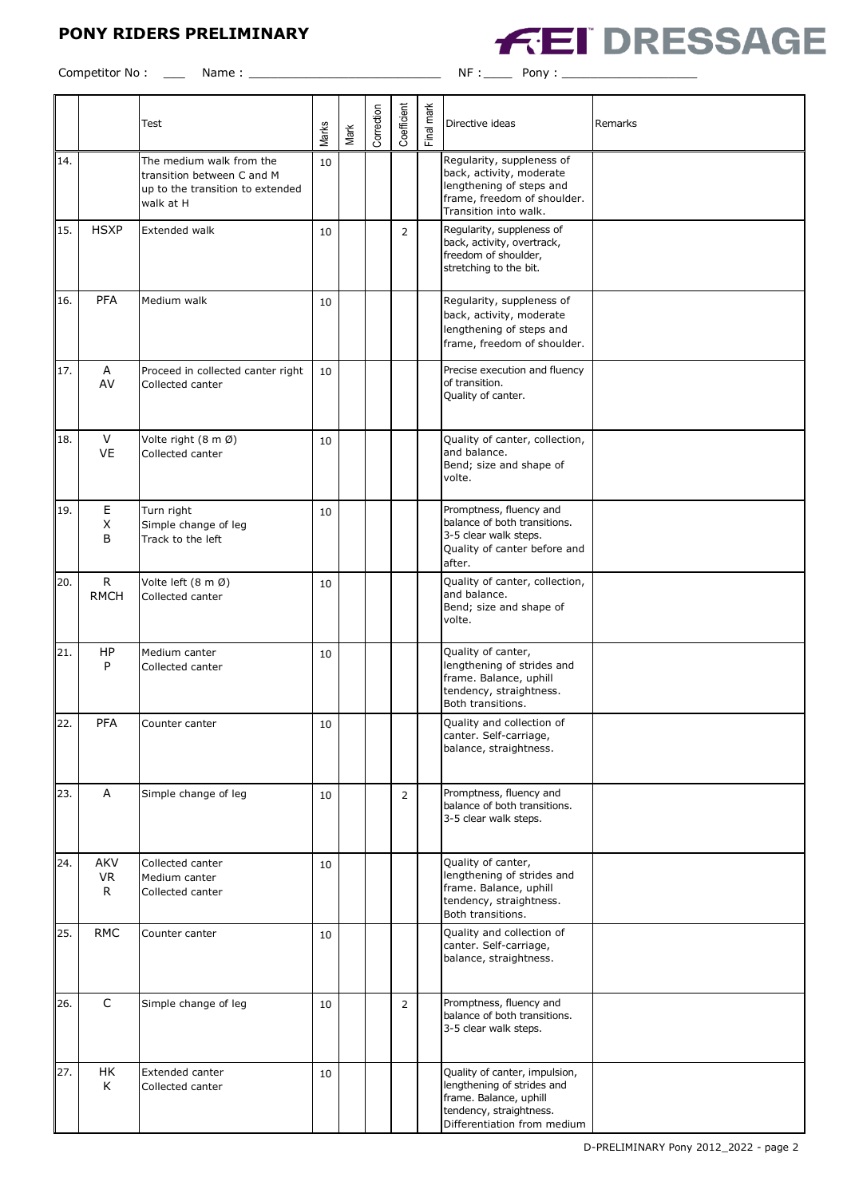## **PONY RIDERS PRELIMINARY**

Competitor No : \_\_\_ Name : \_\_\_\_\_\_\_\_\_\_\_\_\_\_\_\_\_\_\_\_\_\_\_\_\_\_\_ NF :\_\_\_\_ Pony : \_\_\_\_\_\_\_\_\_\_\_\_\_\_\_\_\_\_\_



|     |                       | Test                                                                                                    | Marks | Mark | Correction | Coefficient    | Final mark | Directive ideas                                                                                                                                 | Remarks |
|-----|-----------------------|---------------------------------------------------------------------------------------------------------|-------|------|------------|----------------|------------|-------------------------------------------------------------------------------------------------------------------------------------------------|---------|
| 14. |                       | The medium walk from the<br>transition between C and M<br>up to the transition to extended<br>walk at H | 10    |      |            |                |            | Regularity, suppleness of<br>back, activity, moderate<br>lengthening of steps and<br>frame, freedom of shoulder.<br>Transition into walk.       |         |
| 15. | <b>HSXP</b>           | Extended walk                                                                                           | 10    |      |            | $\overline{2}$ |            | Regularity, suppleness of<br>back, activity, overtrack,<br>freedom of shoulder,<br>stretching to the bit.                                       |         |
| 16. | <b>PFA</b>            | Medium walk                                                                                             | 10    |      |            |                |            | Regularity, suppleness of<br>back, activity, moderate<br>lengthening of steps and<br>frame, freedom of shoulder.                                |         |
| 17. | Α<br>AV               | Proceed in collected canter right<br>Collected canter                                                   | 10    |      |            |                |            | Precise execution and fluency<br>of transition.<br>Quality of canter.                                                                           |         |
| 18. | V<br><b>VE</b>        | Volte right (8 m Ø)<br>Collected canter                                                                 | 10    |      |            |                |            | Quality of canter, collection,<br>and balance.<br>Bend; size and shape of<br>volte.                                                             |         |
| 19. | Ε<br>X<br>B           | Turn right<br>Simple change of leg<br>Track to the left                                                 | 10    |      |            |                |            | Promptness, fluency and<br>balance of both transitions.<br>3-5 clear walk steps.<br>Quality of canter before and<br>after.                      |         |
| 20. | R<br><b>RMCH</b>      | Volte left (8 m Ø)<br>Collected canter                                                                  | 10    |      |            |                |            | Quality of canter, collection,<br>and balance.<br>Bend; size and shape of<br>volte.                                                             |         |
| 21. | HP<br>P               | Medium canter<br>Collected canter                                                                       | 10    |      |            |                |            | Quality of canter,<br>lengthening of strides and<br>frame. Balance, uphill<br>tendency, straightness.<br>Both transitions.                      |         |
| 22. | PFA                   | Counter canter                                                                                          | 10    |      |            |                |            | Quality and collection of<br>canter. Self-carriage,<br>balance, straightness.                                                                   |         |
| 23. | Α                     | Simple change of leg                                                                                    | 10    |      |            | $\overline{2}$ |            | Promptness, fluency and<br>balance of both transitions.<br>3-5 clear walk steps.                                                                |         |
| 24. | AKV<br><b>VR</b><br>R | Collected canter<br>Medium canter<br>Collected canter                                                   | 10    |      |            |                |            | Quality of canter,<br>lengthening of strides and<br>frame. Balance, uphill<br>tendency, straightness.<br>Both transitions.                      |         |
| 25. | <b>RMC</b>            | Counter canter                                                                                          | 10    |      |            |                |            | Quality and collection of<br>canter. Self-carriage,<br>balance, straightness.                                                                   |         |
| 26. | $\mathsf{C}$          | Simple change of leg                                                                                    | 10    |      |            | $\overline{2}$ |            | Promptness, fluency and<br>balance of both transitions.<br>3-5 clear walk steps.                                                                |         |
| 27. | НK<br>K               | Extended canter<br>Collected canter                                                                     | 10    |      |            |                |            | Quality of canter, impulsion,<br>lengthening of strides and<br>frame. Balance, uphill<br>tendency, straightness.<br>Differentiation from medium |         |